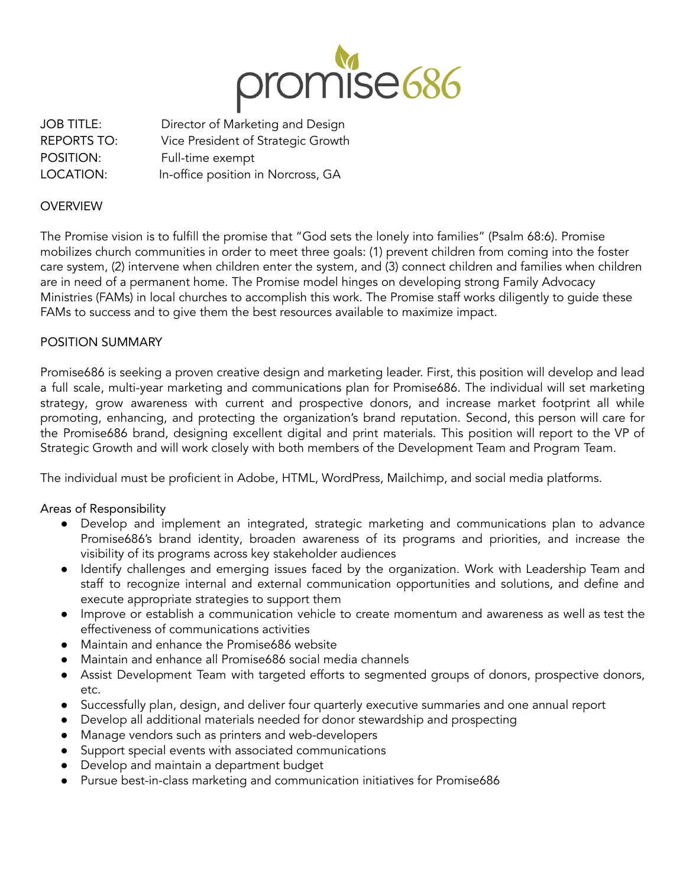

JOB TITLE: Director of Marketing and Design REPORTS TO: Vice President of Strategic Growth POSITION: Full-time exempt LOCATION: In-office position in Norcross, GA

### **OVERVIEW**

The Promise vision is to fulfill the promise that "God sets the lonely into families" (Psalm 68:6). Promise mobilizes church communities in order to meet three goals: (1) prevent children from coming into the foster care system, (2) intervene when children enter the system, and (3) connect children and families when children are in need of a permanent home. The Promise model hinges on developing strong Family Advocacy Ministries (FAMs) in local churches to accomplish this work. The Promise staff works diligently to guide these FAMs to success and to give them the best resources available to maximize impact.

## POSITION SUMMARY

Promise686 is seeking a proven creative design and marketing leader. First, this position will develop and lead a full scale, multi-year marketing and communications plan for Promise686. The individual will set marketing strategy, grow awareness with current and prospective donors, and increase market footprint all while promoting, enhancing, and protecting the organization's brand reputation. Second, this person will care for the Promise686 brand, designing excellent digital and print materials. This position will report to the VP of Strategic Growth and will work closely with both members of the Development Team and Program Team.

The individual must be proficient in Adobe, HTML, WordPress, Mailchimp, and social media platforms.

# Areas of Responsibility

- Develop and implement an integrated, strategic marketing and communications plan to advance Promise686's brand identity, broaden awareness of its programs and priorities, and increase the visibility of its programs across key stakeholder audiences
- Identify challenges and emerging issues faced by the organization. Work with Leadership Team and staff to recognize internal and external communication opportunities and solutions, and define and execute appropriate strategies to support them
- Improve or establish a communication vehicle to create momentum and awareness as well as test the effectiveness of communications activities
- Maintain and enhance the Promise686 website
- Maintain and enhance all Promise686 social media channels
- Assist Development Team with targeted efforts to segmented groups of donors, prospective donors, etc.
- Successfully plan, design, and deliver four quarterly executive summaries and one annual report
- Develop all additional materials needed for donor stewardship and prospecting
- Manage vendors such as printers and web-developers
- Support special events with associated communications
- Develop and maintain a department budget
- Pursue best-in-class marketing and communication initiatives for Promise686